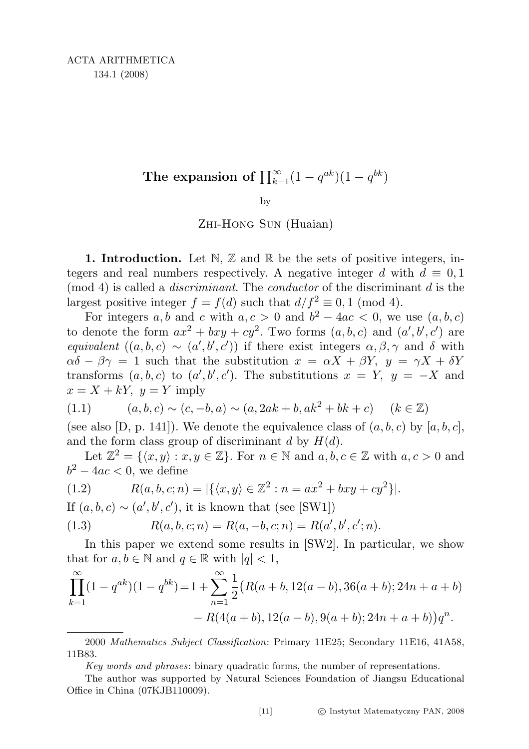by

Zhi-Hong Sun (Huaian)

1. Introduction. Let  $\mathbb{N}, \mathbb{Z}$  and  $\mathbb{R}$  be the sets of positive integers, integers and real numbers respectively. A negative integer d with  $d \equiv 0,1$  $\pmod{4}$  is called a *discriminant*. The *conductor* of the discriminant d is the largest positive integer  $f = f(d)$  such that  $d/f^2 \equiv 0, 1 \pmod{4}$ .

For integers a, b and c with  $a, c > 0$  and  $b^2 - 4ac < 0$ , we use  $(a, b, c)$ to denote the form  $ax^2 + bxy + cy^2$ . Two forms  $(a, b, c)$  and  $(a', b', c')$  are equivalent  $((a, b, c) \sim (a', b', c'))$  if there exist integers  $\alpha, \beta, \gamma$  and  $\delta$  with  $\alpha\delta - \beta\gamma = 1$  such that the substitution  $x = \alpha X + \beta Y$ ,  $y = \gamma X + \delta Y$ transforms  $(a, b, c)$  to  $(a', b', c')$ . The substitutions  $x = Y$ ,  $y = -X$  and  $x = X + kY$ ,  $y = Y$  imply

$$
(1.1) \qquad (a, b, c) \sim (c, -b, a) \sim (a, 2ak + b, ak^2 + bk + c) \qquad (k \in \mathbb{Z})
$$

(see also [D, p. 141]). We denote the equivalence class of  $(a, b, c)$  by  $[a, b, c]$ , and the form class group of discriminant d by  $H(d)$ .

Let  $\mathbb{Z}^2 = \{\langle x, y \rangle : x, y \in \mathbb{Z}\}.$  For  $n \in \mathbb{N}$  and  $a, b, c \in \mathbb{Z}$  with  $a, c > 0$  and  $b^2 - 4ac < 0$ , we define

(1.2) 
$$
R(a, b, c; n) = |\{(x, y) \in \mathbb{Z}^2 : n = ax^2 + bxy + cy^2\}|.
$$

If  $(a, b, c) \sim (a', b', c')$ , it is known that (see [SW1])

(1.3) 
$$
R(a, b, c; n) = R(a, -b, c; n) = R(a', b', c'; n).
$$

In this paper we extend some results in [SW2]. In particular, we show that for  $a, b \in \mathbb{N}$  and  $q \in \mathbb{R}$  with  $|q| < 1$ ,

$$
\prod_{k=1}^{\infty} (1 - q^{ak})(1 - q^{bk}) = 1 + \sum_{n=1}^{\infty} \frac{1}{2} (R(a+b, 12(a-b), 36(a+b); 24n + a + b)
$$

$$
- R(4(a+b), 12(a-b), 9(a+b); 24n + a + b)q^n.
$$

2000 Mathematics Subject Classification: Primary 11E25; Secondary 11E16, 41A58, 11B83.

Key words and phrases: binary quadratic forms, the number of representations.

The author was supported by Natural Sciences Foundation of Jiangsu Educational Office in China (07KJB110009).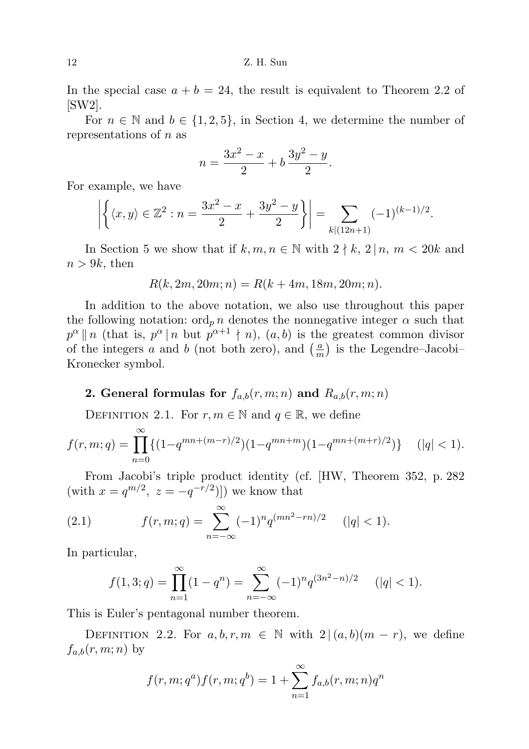In the special case  $a + b = 24$ , the result is equivalent to Theorem 2.2 of [SW2].

For  $n \in \mathbb{N}$  and  $b \in \{1,2,5\}$ , in Section 4, we determine the number of representations of  $n$  as

$$
n = \frac{3x^2 - x}{2} + b\frac{3y^2 - y}{2}.
$$

For example, we have

$$
\left| \left\{ \langle x, y \rangle \in \mathbb{Z}^2 : n = \frac{3x^2 - x}{2} + \frac{3y^2 - y}{2} \right\} \right| = \sum_{k \mid (12n+1)} (-1)^{(k-1)/2}.
$$

In Section 5 we show that if  $k, m, n \in \mathbb{N}$  with  $2 \nmid k, 2 \nmid n, m < 20k$  and  $n > 9k$ , then

$$
R(k, 2m, 20m; n) = R(k + 4m, 18m, 20m; n).
$$

In addition to the above notation, we also use throughout this paper the following notation:  $\text{ord}_p n$  denotes the nonnegative integer  $\alpha$  such that  $p^{\alpha}||n$  (that is,  $p^{\alpha}||n$  but  $p^{\alpha+1} \nmid n$ ),  $(a, b)$  is the greatest common divisor of the integers a and b (not both zero), and  $\left(\frac{a}{n}\right)$  $\frac{a}{m}$ ) is the Legendre–Jacobi– Kronecker symbol.

## 2. General formulas for  $f_{a,b}(r,m;n)$  and  $R_{a,b}(r,m;n)$

DEFINITION 2.1. For  $r, m \in \mathbb{N}$  and  $q \in \mathbb{R}$ , we define

$$
f(r,m;q) = \prod_{n=0}^{\infty} \{ (1 - q^{mn + (m-r)/2})(1 - q^{mn+m})(1 - q^{mn + (m+r)/2}) \} \qquad (|q| < 1).
$$

From Jacobi's triple product identity (cf. [HW, Theorem 352, p. 282 (with  $x = q^{m/2}$ ,  $z = -q^{-r/2}$ )]) we know that

(2.1) 
$$
f(r,m;q) = \sum_{n=-\infty}^{\infty} (-1)^n q^{(mn^2 - rn)/2} \quad (|q| < 1).
$$

In particular,

$$
f(1,3;q) = \prod_{n=1}^{\infty} (1 - q^n) = \sum_{n=-\infty}^{\infty} (-1)^n q^{(3n^2 - n)/2} \quad (|q| < 1).
$$

This is Euler's pentagonal number theorem.

DEFINITION 2.2. For  $a, b, r, m \in \mathbb{N}$  with  $2 | (a, b)(m - r)$ , we define  $f_{a,b}(r,m;n)$  by

$$
f(r, m; q^a) f(r, m; q^b) = 1 + \sum_{n=1}^{\infty} f_{a,b}(r, m; n) q^n
$$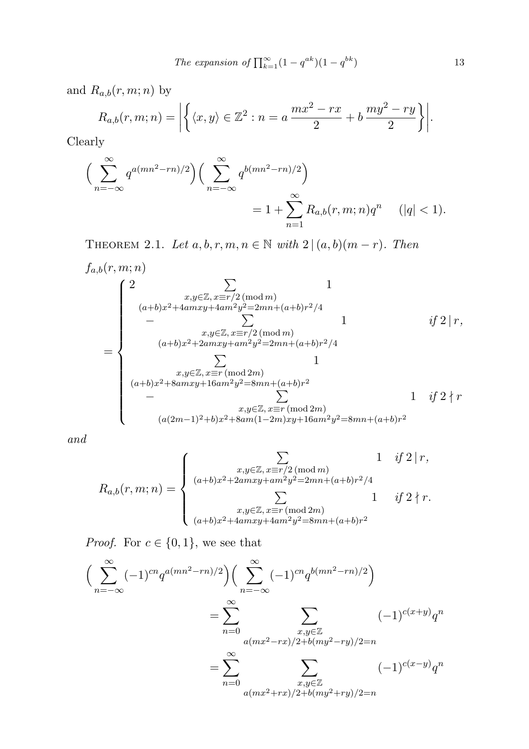The expansion of 
$$
\prod_{k=1}^{\infty} (1 - q^{ak})(1 - q^{bk})
$$

 $13$ 

and  $R_{a,b}(r,m;n)$  by

$$
R_{a,b}(r,m;n) = \left| \left\{ \langle x,y \rangle \in \mathbb{Z}^2 : n = a \, \frac{mx^2 - rx}{2} + b \, \frac{my^2 - ry}{2} \right\} \right|.
$$

Clearly

$$
\left(\sum_{n=-\infty}^{\infty} q^{a(mn^2-rn)/2}\right) \left(\sum_{n=-\infty}^{\infty} q^{b(mn^2-rn)/2}\right) = 1 + \sum_{n=1}^{\infty} R_{a,b}(r,m;n)q^n \quad (|q| < 1).
$$

THEOREM 2.1. Let  $a, b, r, m, n \in \mathbb{N}$  with  $2 | (a, b)(m - r)$ . Then

$$
f_{a,b}(r, m; n)
$$
\n
$$
= \begin{cases}\n2 & x,y \in \mathbb{Z}, x = r/2 \pmod{m} \\
(a+b)x^2 + 4amxy + 4am^2y^2 = 2mn + (a+b)r^2/4 \\
& - \sum_{\substack{x,y \in \mathbb{Z}, x = r/2 \pmod{m} \\
(a+b)x^2 + 2amxy + am^2y^2 = 2mn + (a+b)r^2/4}} 1 & \text{if } 2 \mid r, \\
& \sum_{\substack{x,y \in \mathbb{Z}, x \equiv r \pmod{2m} \\
-\sum_{\substack{x,y \in \mathbb{Z}, x \equiv r \pmod{2m} \\
-\sum_{\substack{x,y \in \mathbb{Z}, x \equiv r \pmod{2m} \\
(a(2m-1)^2 + b)x^2 + 8am(1-2m)xy + 16am^2y^2 = 8mn + (a+b)r^2}} 1 & \text{if } 2 \nmid r\n\end{cases}
$$

and

$$
R_{a,b}(r,m;n) = \begin{cases} \sum_{\substack{x,y \in \mathbb{Z}, x \equiv r/2 \pmod{m} \\ (a+b)x^2 + 2amxy + am^2y^2 = 2mn + (a+b)r^2/4}} 1 & if 2 \nmid r, \\ \sum_{\substack{x,y \in \mathbb{Z}, x \equiv r \pmod{2m} \\ (a+b)x^2 + 4amxy + 4am^2y^2 = 8mn + (a+b)r^2}} 1 & if 2 \nmid r. \end{cases}
$$

*Proof.* For  $c \in \{0, 1\}$ , we see that

$$
\left(\sum_{n=-\infty}^{\infty}(-1)^{cn}q^{a(mn^{2}-rn)/2}\right)\left(\sum_{n=-\infty}^{\infty}(-1)^{cn}q^{b(mn^{2}-rn)/2}\right)
$$

$$
=\sum_{n=0}^{\infty}\sum_{\substack{x,y\in\mathbb{Z}\\a(mx^{2}-rx)/2+b(my^{2}-ry)/2=n}}(-1)^{c(x+y)}q^{n}
$$

$$
=\sum_{n=0}^{\infty}\sum_{\substack{x,y\in\mathbb{Z}\\a(mx^{2}+rx)/2+b(my^{2}+ry)/2=n}}(-1)^{c(x-y)}q^{n}
$$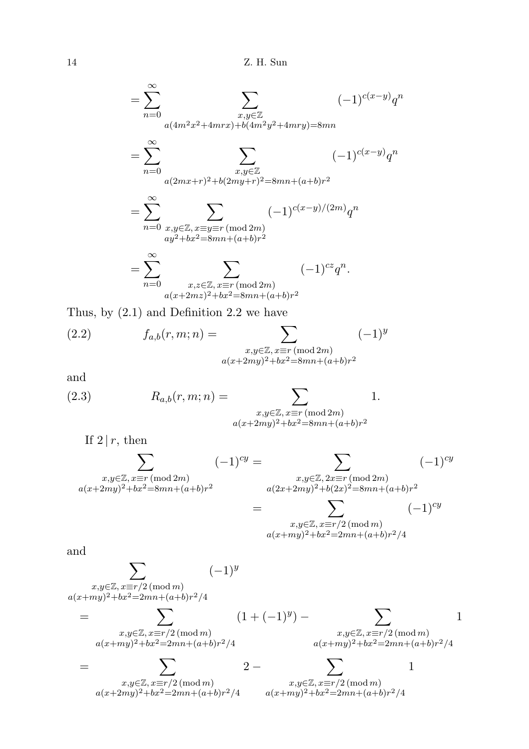$$
= \sum_{n=0}^{\infty} \sum_{\substack{x,y \in \mathbb{Z} \\ a(4m^2x^2 + 4mrx) + b(4m^2y^2 + 4mry) = 8mn}} (-1)^{c(x-y)} q^n
$$
  

$$
= \sum_{n=0}^{\infty} \sum_{\substack{x,y \in \mathbb{Z} \\ a(2mx+r)^2 + b(2my+r)^2 = 8mn + (a+b)r^2}} (-1)^{c(x-y)} q^n
$$
  

$$
= \sum_{n=0}^{\infty} \sum_{\substack{x,y \in \mathbb{Z}, x \equiv y \equiv r \text{ (mod } 2m) \\ ay^2 + bx^2 = 8mn + (a+b)r^2}} (-1)^{c(x-y)/(2m)} q^n
$$
  

$$
= \sum_{n=0}^{\infty} \sum_{\substack{x,z \in \mathbb{Z}, x \equiv r \text{ (mod } 2m) \\ a(x+2mz)^2 + bx^2 = 8mn + (a+b)r^2}} (-1)^{cz} q^n.
$$

Thus, by (2.1) and Definition 2.2 we have

(2.2) 
$$
f_{a,b}(r,m;n) = \sum_{\substack{x,y \in \mathbb{Z}, x \equiv r \, (\text{mod } 2m) \\ a(x+2my)^2 + bx^2 = 8mn + (a+b)r^2}} (-1)^y
$$

and

(2.3) 
$$
R_{a,b}(r,m;n) = \sum_{\substack{x,y \in \mathbb{Z}, x \equiv r \pmod{2m} \\ a(x+2my)^2 + bx^2 = 8mn + (a+b)r^2}} 1.
$$

If  $2 | r$ , then

$$
\sum_{\substack{x,y \in \mathbb{Z}, x \equiv r \pmod{2m} \\ a(x+2my)^2 + bx^2 = 8mn + (a+b)r^2}} (-1)^{cy} = \sum_{\substack{x,y \in \mathbb{Z}, 2x \equiv r \pmod{2m} \\ a(2x+2my)^2 + b(2x)^2 = 8mn + (a+b)r^2 \\ x,y \in \mathbb{Z}, x \equiv r/2 \pmod{m} \\ a(x+my)^2 + bx^2 = 2mn + (a+b)r^2/4}} (-1)^{cy}
$$

and

$$
\sum_{\substack{x,y \in \mathbb{Z}, x \equiv r/2 \pmod{m} \\ a(x+my)^2 + bx^2 = 2mn + (a+b)r^2/4}} (-1)^y
$$
\n
$$
= \sum_{\substack{x,y \in \mathbb{Z}, x \equiv r/2 \pmod{m} \\ a(x+my)^2 + bx^2 = 2mn + (a+b)r^2/4}} (1 + (-1)^y) - \sum_{\substack{x,y \in \mathbb{Z}, x \equiv r/2 \pmod{m} \\ a(x+my)^2 + bx^2 = 2mn + (a+b)r^2/4}} 1
$$
\n
$$
= \sum_{\substack{x,y \in \mathbb{Z}, x \equiv r/2 \pmod{m} \\ a(x+2my)^2 + bx^2 = 2mn + (a+b)r^2/4}} x_{\substack{y \in \mathbb{Z}, x \equiv r/2 \pmod{m} \\ a(x+my)^2 + bx^2 = 2mn + (a+b)r^2/4}} 1
$$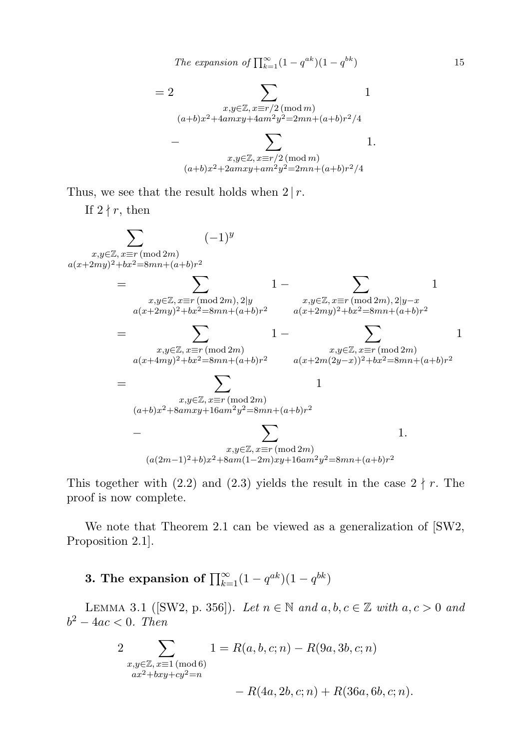The expansion of 
$$
\prod_{k=1}^{\infty} (1 - q^{ak})(1 - q^{bk})
$$
 15

$$
= 2 \sum_{\substack{x,y \in \mathbb{Z}, x \equiv r/2 \pmod{m} \\ (a+b)x^2 + 4amxy + 4am^2y^2 = 2mn + (a+b)r^2/4}} 1
$$

$$
- \sum_{\substack{x,y \in \mathbb{Z}, x \equiv r/2 \pmod{m} \\ (a+b)x^2 + 2amxy + am^2y^2 = 2mn + (a+b)r^2/4}} 1.
$$

Thus, we see that the result holds when  $2 | r$ .

If  $2 \nmid r$ , then



This together with (2.2) and (2.3) yields the result in the case  $2 \nmid r$ . The proof is now complete.

We note that Theorem 2.1 can be viewed as a generalization of [SW2, Proposition 2.1].

3. The expansion of  $\prod_{k=1}^{\infty} (1 - q^{ak})(1 - q^{bk})$ 

LEMMA 3.1 ([SW2, p. 356]). Let  $n \in \mathbb{N}$  and  $a, b, c \in \mathbb{Z}$  with  $a, c > 0$  and  $b^2 - 4ac < 0$ . Then

$$
2 \sum_{\substack{x,y \in \mathbb{Z}, x \equiv 1 \pmod{6} \\ ax^2 + bxy + cy^2 = n}} 1 = R(a, b, c; n) - R(9a, 3b, c; n) - R(4a, 2b, c; n) + R(36a, 6b, c; n).
$$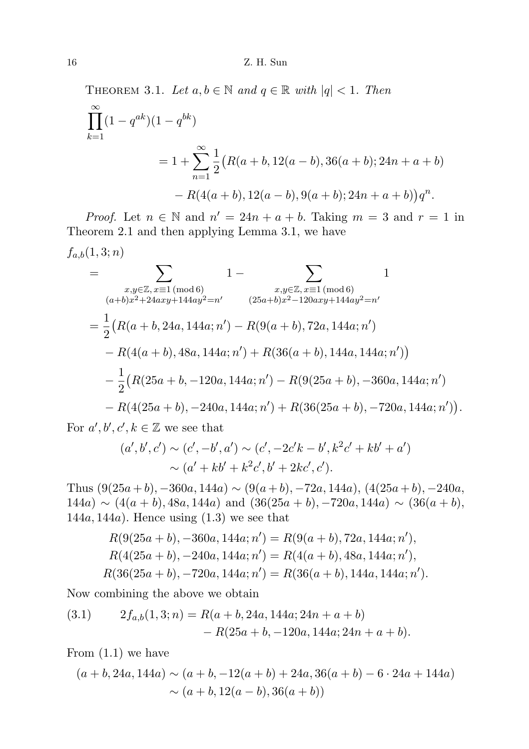THEOREM 3.1. Let  $a, b \in \mathbb{N}$  and  $q \in \mathbb{R}$  with  $|q| < 1$ . Then

$$
\prod_{k=1}^{\infty} (1 - q^{ak})(1 - q^{bk})
$$
  
=  $1 + \sum_{n=1}^{\infty} \frac{1}{2} (R(a+b, 12(a-b), 36(a+b); 24n + a + b)$   
-  $R(4(a+b), 12(a-b), 9(a+b); 24n + a + b) ) q^n$ .

*Proof.* Let  $n \in \mathbb{N}$  and  $n' = 24n + a + b$ . Taking  $m = 3$  and  $r = 1$  in Theorem 2.1 and then applying Lemma 3.1, we have

$$
f_{a,b}(1,3;n)
$$

$$
= \sum_{\substack{x,y \in \mathbb{Z}, x \equiv 1 \pmod{6} \\ (a+b)x^2 + 24axy + 144ay^2 = n' \\ }} 1 - \sum_{\substack{x,y \in \mathbb{Z}, x \equiv 1 \pmod{6} \\ (25a+b)x^2 - 120axy + 144ay^2 = n' \\ }} 1
$$
\n
$$
= \frac{1}{2} \Big( R(a+b, 24a, 144a; n') - R(9(a+b), 72a, 144a; n') - R(4(a+b), 48a, 144a; n') + R(36(a+b), 144a, 144a; n') \Big)
$$
\n
$$
- \frac{1}{2} \Big( R(25a+b, -120a, 144a; n') - R(9(25a+b), -360a, 144a; n') - R(4(25a+b), -240a, 144a; n') + R(36(25a+b), -720a, 144a; n') \Big).
$$

For  $a', b', c', k \in \mathbb{Z}$  we see that

$$
(a', b', c') \sim (c', -b', a') \sim (c', -2c'k - b', k^2c' + kb' + a')
$$
  
 
$$
\sim (a' + kb' + k^2c', b' + 2kc', c').
$$

Thus  $(9(25a + b), -360a, 144a) \sim (9(a + b), -72a, 144a), (4(25a + b), -240a,$  $144a \rightarrow (4(a + b), 48a, 144a)$  and  $(36(25a + b), -720a, 144a) \sim (36(a + b),$ 144a, 144a). Hence using  $(1.3)$  we see that

$$
R(9(25a + b), -360a, 144a; n') = R(9(a + b), 72a, 144a; n'),
$$
  
\n
$$
R(4(25a + b), -240a, 144a; n') = R(4(a + b), 48a, 144a; n'),
$$
  
\n
$$
R(36(25a + b), -720a, 144a; n') = R(36(a + b), 144a, 144a; n').
$$

Now combining the above we obtain

(3.1) 
$$
2f_{a,b}(1,3;n) = R(a+b, 24a, 144a; 24n + a + b) - R(25a+b, -120a, 144a; 24n + a + b).
$$

From (1.1) we have

$$
(a+b, 24a, 144a) \sim (a+b, -12(a+b) + 24a, 36(a+b) - 6 \cdot 24a + 144a)
$$
  
 
$$
\sim (a+b, 12(a-b), 36(a+b))
$$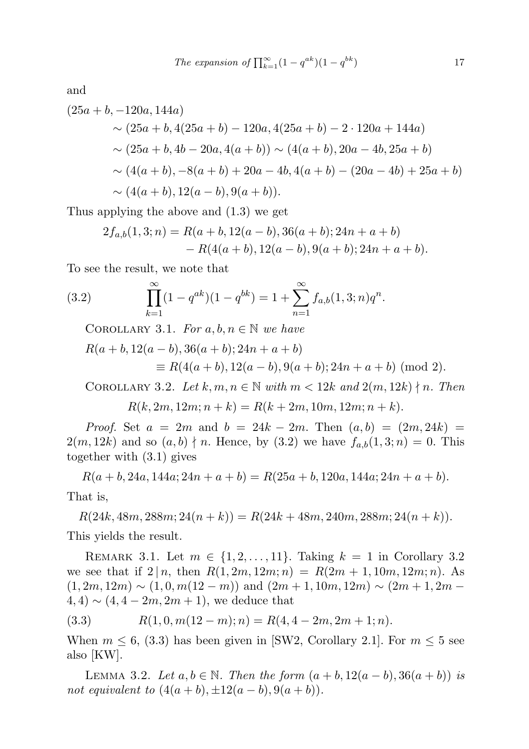The expansion of 
$$
\prod_{k=1}^{\infty} (1 - q^{ak})(1 - q^{bk})
$$
 17

and

$$
(25a + b, -120a, 144a)
$$
  
\n
$$
\sim (25a + b, 4(25a + b) - 120a, 4(25a + b) - 2 \cdot 120a + 144a)
$$
  
\n
$$
\sim (25a + b, 4b - 20a, 4(a + b)) \sim (4(a + b), 20a - 4b, 25a + b)
$$
  
\n
$$
\sim (4(a + b), -8(a + b) + 20a - 4b, 4(a + b) - (20a - 4b) + 25a + b)
$$
  
\n
$$
\sim (4(a + b), 12(a - b), 9(a + b)).
$$

Thus applying the above and (1.3) we get

$$
2f_{a,b}(1,3;n) = R(a+b,12(a-b),36(a+b);24n+a+b)
$$
  
- R(4(a+b),12(a-b),9(a+b);24n+a+b).

To see the result, we note that

(3.2) 
$$
\prod_{k=1}^{\infty} (1 - q^{ak})(1 - q^{bk}) = 1 + \sum_{n=1}^{\infty} f_{a,b}(1,3;n)q^n.
$$

COROLLARY 3.1. For  $a, b, n \in \mathbb{N}$  we have

$$
R(a+b, 12(a - b), 36(a + b); 24n + a + b)
$$
  
\n
$$
\equiv R(4(a + b), 12(a - b), 9(a + b); 24n + a + b) \pmod{2}.
$$

COROLLARY 3.2. Let  $k, m, n \in \mathbb{N}$  with  $m < 12k$  and  $2(m, 12k) \nmid n$ . Then

 $R(k, 2m, 12m; n+k) = R(k+2m, 10m, 12m; n+k).$ 

*Proof.* Set  $a = 2m$  and  $b = 24k - 2m$ . Then  $(a, b) = (2m, 24k)$  $2(m, 12k)$  and so  $(a, b) \nmid n$ . Hence, by  $(3.2)$  we have  $f_{a,b}(1, 3; n) = 0$ . This together with (3.1) gives

 $R(a + b, 24a, 144a; 24n + a + b) = R(25a + b, 120a, 144a; 24n + a + b).$ That is,

 $R(24k, 48m, 288m; 24(n+k)) = R(24k + 48m, 240m, 288m; 24(n+k)).$ This yields the result.

REMARK 3.1. Let  $m \in \{1, 2, \ldots, 11\}$ . Taking  $k = 1$  in Corollary 3.2 we see that if  $2 | n$ , then  $R(1, 2m, 12m; n) = R(2m + 1, 10m, 12m; n)$ . As  $(1, 2m, 12m) \sim (1, 0, m(12 - m))$  and  $(2m + 1, 10m, 12m) \sim (2m + 1, 2m (4, 4) \sim (4, 4 - 2m, 2m + 1)$ , we deduce that

$$
(3.3) \t R(1,0,m(12-m);n) = R(4,4-2m,2m+1;n).
$$

When  $m \leq 6$ , (3.3) has been given in [SW2, Corollary 2.1]. For  $m \leq 5$  see also [KW].

LEMMA 3.2. Let  $a, b \in \mathbb{N}$ . Then the form  $(a + b, 12(a - b), 36(a + b))$  is not equivalent to  $(4(a + b), \pm 12(a - b), 9(a + b)).$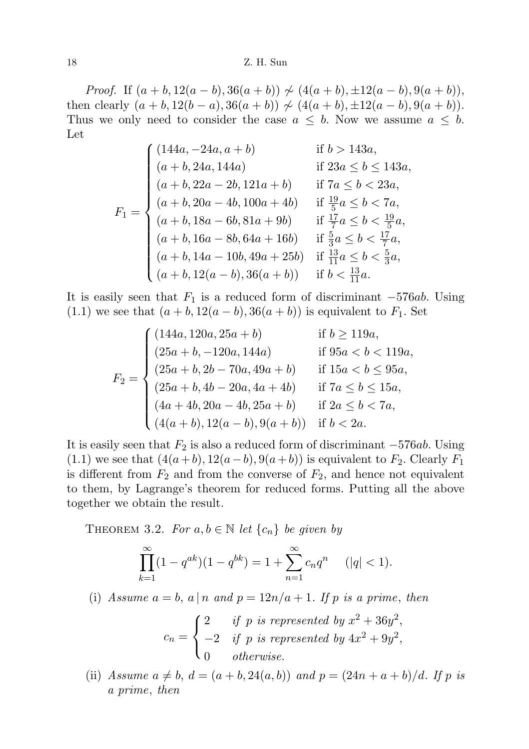*Proof.* If  $(a + b, 12(a - b), 36(a + b)) \nsim (4(a + b), \pm 12(a - b), 9(a + b)),$ then clearly  $(a + b, 12(b - a), 36(a + b)) \nsim (4(a + b), \pm 12(a - b), 9(a + b)).$ Thus we only need to consider the case  $a \leq b$ . Now we assume  $a \leq b$ . Let

$$
F_1 = \begin{cases} (144a, -24a, a+b) & \text{if } b > 143a, \\ (a+b, 24a, 144a) & \text{if } 23a \le b \le 143a, \\ (a+b, 22a - 2b, 121a + b) & \text{if } 7a \le b < 23a, \\ (a+b, 20a - 4b, 100a + 4b) & \text{if } \frac{19}{5}a \le b < 7a, \\ (a+b, 18a - 6b, 81a + 9b) & \text{if } \frac{17}{7}a \le b < \frac{19}{5}a, \\ (a+b, 16a - 8b, 64a + 16b) & \text{if } \frac{5}{3}a \le b < \frac{17}{7}a, \\ (a+b, 14a - 10b, 49a + 25b) & \text{if } \frac{13}{11}a \le b < \frac{5}{3}a, \\ (a+b, 12(a - b), 36(a + b)) & \text{if } b < \frac{13}{11}a. \end{cases}
$$

It is easily seen that  $F_1$  is a reduced form of discriminant  $-576ab$ . Using (1.1) we see that  $(a + b, 12(a - b), 36(a + b))$  is equivalent to  $F_1$ . Set

$$
F_2 = \begin{cases} (144a, 120a, 25a + b) & \text{if } b \ge 119a, \\ (25a + b, -120a, 144a) & \text{if } 95a < b < 119a, \\ (25a + b, 2b - 70a, 49a + b) & \text{if } 15a < b \le 95a, \\ (25a + b, 4b - 20a, 4a + 4b) & \text{if } 7a \le b \le 15a, \\ (4a + 4b, 20a - 4b, 25a + b) & \text{if } 2a \le b < 7a, \\ (4(a + b), 12(a - b), 9(a + b)) & \text{if } b < 2a. \end{cases}
$$

It is easily seen that  $F_2$  is also a reduced form of discriminant  $-576ab$ . Using  $(1.1)$  we see that  $(4(a+b), 12(a-b), 9(a+b))$  is equivalent to  $F_2$ . Clearly  $F_1$ is different from  $F_2$  and from the converse of  $F_2$ , and hence not equivalent to them, by Lagrange's theorem for reduced forms. Putting all the above together we obtain the result.

THEOREM 3.2. For  $a, b \in \mathbb{N}$  let  $\{c_n\}$  be given by

$$
\prod_{k=1}^{\infty} (1 - q^{ak})(1 - q^{bk}) = 1 + \sum_{n=1}^{\infty} c_n q^n \quad (|q| < 1).
$$

(i) Assume  $a = b$ ,  $a | n$  and  $p = 12n/a + 1$ . If p is a prime, then

$$
c_n = \begin{cases} 2 & \text{if } p \text{ is represented by } x^2 + 36y^2, \\ -2 & \text{if } p \text{ is represented by } 4x^2 + 9y^2, \\ 0 & \text{otherwise.} \end{cases}
$$

(ii) Assume  $a \neq b$ ,  $d = (a + b, 24(a, b))$  and  $p = (24n + a + b)/d$ . If p is a prime, then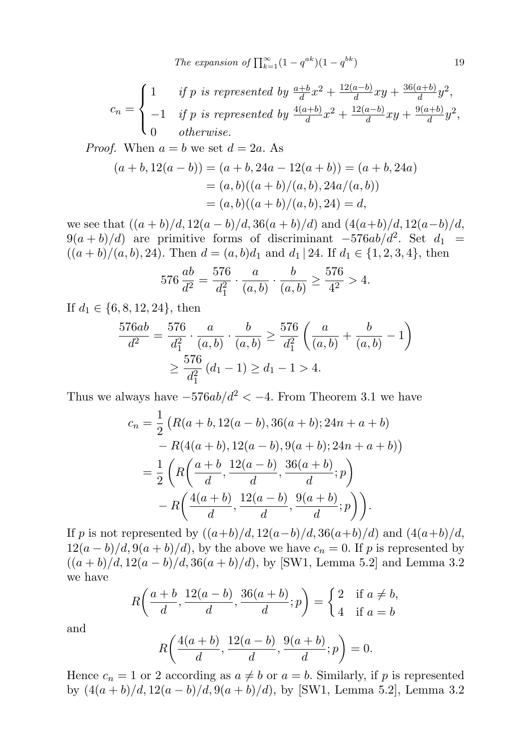$$
c_n = \begin{cases} 1 & \text{if } p \text{ is represented by } \frac{a+b}{d}x^2 + \frac{12(a-b)}{d}xy + \frac{36(a+b)}{d}y^2, \\ -1 & \text{if } p \text{ is represented by } \frac{4(a+b)}{d}x^2 + \frac{12(a-b)}{d}xy + \frac{9(a+b)}{d}y^2, \\ 0 & \text{otherwise.} \end{cases}
$$

*Proof.* When  $a = b$  we set  $d = 2a$ . As

$$
(a+b, 12(a - b)) = (a + b, 24a - 12(a + b)) = (a + b, 24a)
$$
  
=  $(a, b)((a + b)/(a, b), 24a/(a, b))$   
=  $(a, b)((a + b)/(a, b), 24) = d$ ,

we see that  $((a + b)/d, 12(a - b)/d, 36(a + b)/d)$  and  $(4(a+b)/d, 12(a-b)/d,$  $9(a + b)/d$  are primitive forms of discriminant  $-576ab/d^2$ . Set  $d_1 =$  $((a + b)/(a, b), 24)$ . Then  $d = (a, b)d_1$  and  $d_1 | 24$ . If  $d_1 \in \{1, 2, 3, 4\}$ , then

$$
576 \frac{ab}{d^2} = \frac{576}{d_1^2} \cdot \frac{a}{(a,b)} \cdot \frac{b}{(a,b)} \ge \frac{576}{4^2} > 4.
$$

If  $d_1 \in \{6, 8, 12, 24\}$ , then

$$
\frac{576ab}{d^2} = \frac{576}{d_1^2} \cdot \frac{a}{(a,b)} \cdot \frac{b}{(a,b)} \ge \frac{576}{d_1^2} \left( \frac{a}{(a,b)} + \frac{b}{(a,b)} - 1 \right)
$$
  

$$
\ge \frac{576}{d_1^2} (d_1 - 1) \ge d_1 - 1 > 4.
$$

Thus we always have  $-576ab/d^2 < -4$ . From Theorem 3.1 we have

$$
c_n = \frac{1}{2} \left( R(a+b, 12(a-b), 36(a+b); 24n + a + b) - R(4(a+b), 12(a-b), 9(a+b); 24n + a + b) \right)
$$
  
= 
$$
\frac{1}{2} \left( R\left(\frac{a+b}{d}, \frac{12(a-b)}{d}, \frac{36(a+b)}{d}; p\right) - R\left(\frac{4(a+b)}{d}, \frac{12(a-b)}{d}, \frac{9(a+b)}{d}; p\right) \right).
$$

If p is not represented by  $((a+b)/d, 12(a-b)/d, 36(a+b)/d)$  and  $(4(a+b)/d, 12(a-b)/d)$  $12(a - b)/d$ ,  $9(a + b)/d$ , by the above we have  $c_n = 0$ . If p is represented by  $((a + b)/d, 12(a - b)/d, 36(a + b)/d)$ , by [SW1, Lemma 5.2] and Lemma 3.2 we have

$$
R\left(\frac{a+b}{d}, \frac{12(a-b)}{d}, \frac{36(a+b)}{d}; p\right) = \begin{cases} 2 & \text{if } a \neq b, \\ 4 & \text{if } a = b \end{cases}
$$

and

$$
R\left(\frac{4(a+b)}{d}, \frac{12(a-b)}{d}, \frac{9(a+b)}{d}; p\right) = 0.
$$

Hence  $c_n = 1$  or 2 according as  $a \neq b$  or  $a = b$ . Similarly, if p is represented by  $(4(a + b)/d, 12(a - b)/d, 9(a + b)/d)$ , by [SW1, Lemma 5.2], Lemma 3.2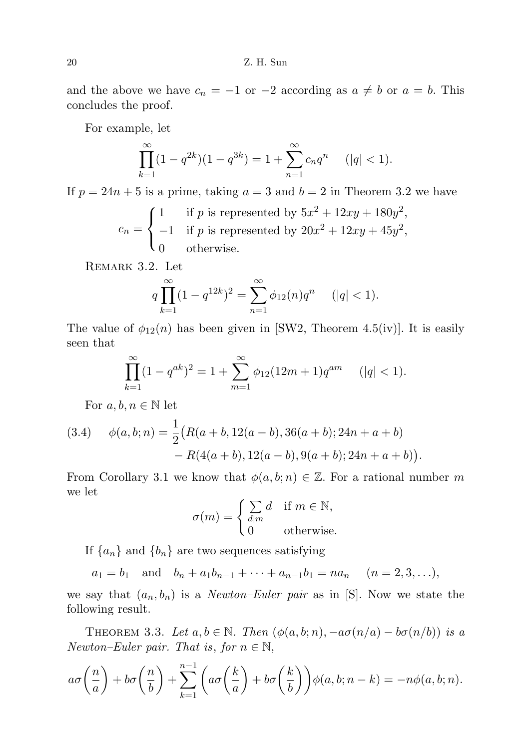and the above we have  $c_n = -1$  or  $-2$  according as  $a \neq b$  or  $a = b$ . This concludes the proof.

For example, let

$$
\prod_{k=1}^{\infty} (1 - q^{2k})(1 - q^{3k}) = 1 + \sum_{n=1}^{\infty} c_n q^n \quad (|q| < 1).
$$

If  $p = 24n + 5$  is a prime, taking  $a = 3$  and  $b = 2$  in Theorem 3.2 we have

$$
c_n = \begin{cases} 1 & \text{if } p \text{ is represented by } 5x^2 + 12xy + 180y^2, \\ -1 & \text{if } p \text{ is represented by } 20x^2 + 12xy + 45y^2, \\ 0 & \text{otherwise.} \end{cases}
$$

Remark 3.2. Let

$$
q\prod_{k=1}^{\infty}(1-q^{12k})^2 = \sum_{n=1}^{\infty}\phi_{12}(n)q^n \quad (|q| < 1).
$$

The value of  $\phi_{12}(n)$  has been given in [SW2, Theorem 4.5(iv)]. It is easily seen that

$$
\prod_{k=1}^{\infty} (1 - q^{ak})^2 = 1 + \sum_{m=1}^{\infty} \phi_{12} (12m + 1) q^{am} \quad (|q| < 1).
$$

For  $a, b, n \in \mathbb{N}$  let

(3.4) 
$$
\phi(a,b;n) = \frac{1}{2} \big( R(a+b, 12(a-b), 36(a+b); 24n+a+b) - R(4(a+b), 12(a-b), 9(a+b); 24n+a+b) \big).
$$

From Corollary 3.1 we know that  $\phi(a, b; n) \in \mathbb{Z}$ . For a rational number m we let

$$
\sigma(m) = \begin{cases} \sum_{d|m} d & \text{if } m \in \mathbb{N}, \\ 0 & \text{otherwise.} \end{cases}
$$

If  ${a_n}$  and  ${b_n}$  are two sequences satisfying

 $a_1 = b_1$  and  $b_n + a_1b_{n-1} + \cdots + a_{n-1}b_1 = na_n$   $(n = 2, 3, \ldots),$ 

we say that  $(a_n, b_n)$  is a *Newton–Euler pair* as in [S]. Now we state the following result.

THEOREM 3.3. Let  $a, b \in \mathbb{N}$ . Then  $(\phi(a, b; n), -a\sigma(n/a) - b\sigma(n/b))$  is a Newton–Euler pair. That is, for  $n \in \mathbb{N}$ ,

$$
a\sigma\left(\frac{n}{a}\right) + b\sigma\left(\frac{n}{b}\right) + \sum_{k=1}^{n-1} \left(a\sigma\left(\frac{k}{a}\right) + b\sigma\left(\frac{k}{b}\right)\right) \phi(a, b; n-k) = -n\phi(a, b; n).
$$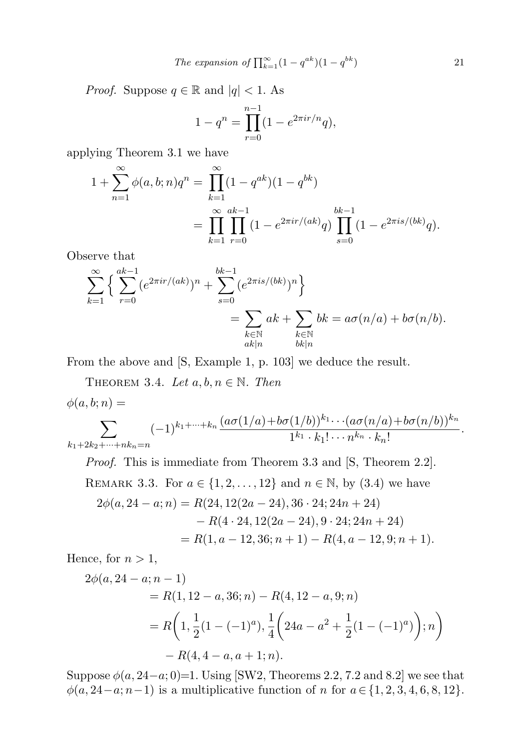The expansion of 
$$
\prod_{k=1}^{\infty} (1 - q^{ak})(1 - q^{bk})
$$
 21

*Proof.* Suppose  $q \in \mathbb{R}$  and  $|q| < 1$ . As

$$
1 - q^n = \prod_{r=0}^{n-1} (1 - e^{2\pi i r/n} q),
$$

applying Theorem 3.1 we have

$$
1 + \sum_{n=1}^{\infty} \phi(a, b; n) q^n = \prod_{k=1}^{\infty} (1 - q^{ak})(1 - q^{bk})
$$
  
= 
$$
\prod_{k=1}^{\infty} \prod_{r=0}^{ak-1} (1 - e^{2\pi i r/(ak)} q) \prod_{s=0}^{bk-1} (1 - e^{2\pi i s/(bk)} q).
$$

Observe that

$$
\sum_{k=1}^{\infty} \left\{ \sum_{r=0}^{ak-1} (e^{2\pi i r/(ak)})^n + \sum_{s=0}^{bk-1} (e^{2\pi i s/(bk)})^n \right\}
$$
  
= 
$$
\sum_{\substack{k \in \mathbb{N} \\ ak|n}} ak + \sum_{\substack{k \in \mathbb{N} \\ bk|n}} bk = a\sigma(n/a) + b\sigma(n/b).
$$

From the above and [S, Example 1, p. 103] we deduce the result.

THEOREM 3.4. Let  $a, b, n \in \mathbb{N}$ . Then  $\sqrt{a}$ 

$$
\phi(a,b;n) =
$$

$$
\sum_{k_1+2k_2+\cdots+nk_n=n}(-1)^{k_1+\cdots+k_n}\frac{(a\sigma(1/a)+b\sigma(1/b))^{k_1}\cdots(a\sigma(n/a)+b\sigma(n/b))^{k_n}}{1^{k_1}\cdot k_1!\cdots n^{k_n}\cdot k_n!}.
$$

Proof. This is immediate from Theorem 3.3 and [S, Theorem 2.2].

REMARK 3.3. For 
$$
a \in \{1, 2, ..., 12\}
$$
 and  $n \in \mathbb{N}$ , by (3.4) we have  
\n $2\phi(a, 24 - a; n) = R(24, 12(2a - 24), 36 \cdot 24; 24n + 24)$   
\n $- R(4 \cdot 24, 12(2a - 24), 9 \cdot 24; 24n + 24)$   
\n $= R(1, a - 12, 36; n + 1) - R(4, a - 12, 9; n + 1).$ 

Hence, for  $n > 1$ ,

$$
2\phi(a, 24 - a; n - 1)
$$
  
= R(1, 12 - a, 36; n) - R(4, 12 - a, 9; n)  
= R\left(1, \frac{1}{2}(1 - (-1)^a), \frac{1}{4}\left(24a - a^2 + \frac{1}{2}(1 - (-1)^a)\right); n\right)  
- R(4, 4 - a, a + 1; n).

Suppose  $\phi(a, 24-a; 0)=1$ . Using [SW2, Theorems 2.2, 7.2 and 8.2] we see that  $\phi(a, 24-a; n-1)$  is a multiplicative function of n for  $a \in \{1, 2, 3, 4, 6, 8, 12\}.$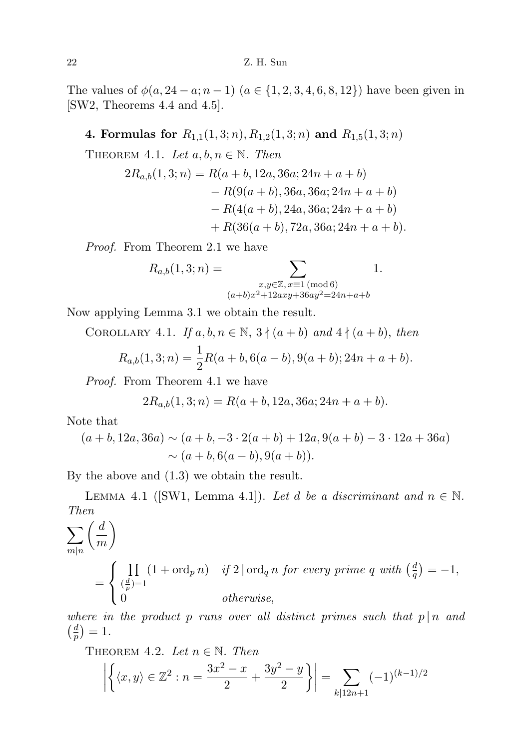The values of  $\phi(a, 24 - a; n - 1)$   $(a \in \{1, 2, 3, 4, 6, 8, 12\})$  have been given in [SW2, Theorems 4.4 and 4.5].

4. Formulas for  $R_{1,1}(1,3;n), R_{1,2}(1,3;n)$  and  $R_{1,5}(1,3;n)$ 

THEOREM 4.1. Let  $a, b, n \in \mathbb{N}$ . Then

$$
2R_{a,b}(1,3;n) = R(a+b, 12a, 36a; 24n + a + b)
$$
  
- R(9(a + b), 36a, 36a; 24n + a + b)  
- R(4(a + b), 24a, 36a; 24n + a + b)  
+ R(36(a + b), 72a, 36a; 24n + a + b).

Proof. From Theorem 2.1 we have

$$
R_{a,b}(1,3;n) = \sum_{\substack{x,y \in \mathbb{Z}, x \equiv 1 \pmod{6} \\ (a+b)x^2+12axy+36ay^2=24n+a+b}} 1.
$$

Now applying Lemma 3.1 we obtain the result.

COROLLARY 4.1. If  $a, b, n \in \mathbb{N}$ ,  $3 \nmid (a + b)$  and  $4 \nmid (a + b)$ , then

$$
R_{a,b}(1,3;n) = \frac{1}{2}R(a+b,6(a-b),9(a+b);24n+a+b).
$$

Proof. From Theorem 4.1 we have

$$
2R_{a,b}(1,3;n) = R(a+b,12a,36a;24n+a+b).
$$

Note that

$$
(a+b, 12a, 36a) \sim (a+b, -3 \cdot 2(a+b) + 12a, 9(a+b) - 3 \cdot 12a + 36a)
$$
  
 
$$
\sim (a+b, 6(a-b), 9(a+b)).
$$

By the above and (1.3) we obtain the result.

LEMMA 4.1 ([SW1, Lemma 4.1]). Let d be a discriminant and  $n \in \mathbb{N}$ . Then

$$
\sum_{m|n} \left(\frac{d}{m}\right)
$$
\n
$$
= \begin{cases}\n\prod_{\left(\frac{d}{p}\right)=1} (1 + \text{ord}_p n) & \text{if } 2 \mid \text{ord}_q n \text{ for every prime } q \text{ with } \left(\frac{d}{q}\right) = -1, \\
0 & \text{otherwise,} \n\end{cases}
$$

where in the product p runs over all distinct primes such that  $p | n$  and  $\left(\frac{d}{n}\right)$  $\frac{d}{p}$ ) = 1.

THEOREM 4.2. Let 
$$
n \in \mathbb{N}
$$
. Then  
\n
$$
\left| \left\{ \langle x, y \rangle \in \mathbb{Z}^2 : n = \frac{3x^2 - x}{2} + \frac{3y^2 - y}{2} \right\} \right| = \sum_{k \mid 12n + 1} (-1)^{(k-1)/2}
$$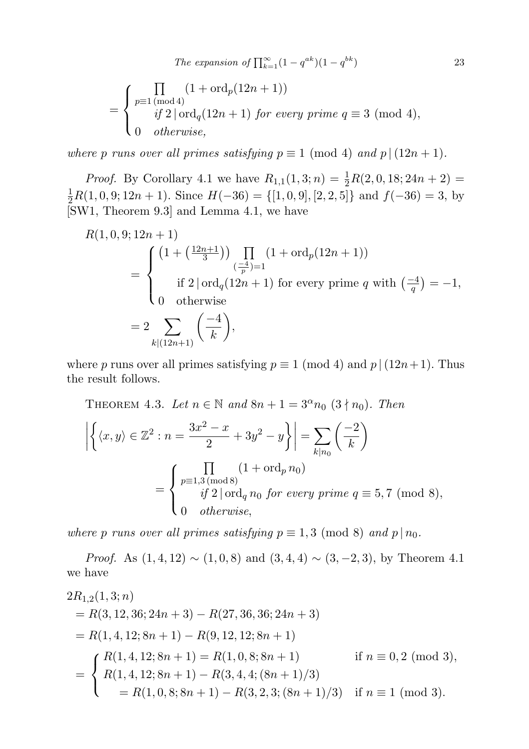$$
= \begin{cases} \prod_{p\equiv 1 \pmod 4} (1+\text{ord}_p(12n+1)) \\ \text{if } 2 \mid \text{ord}_q(12n+1) \text{ for every prime } q \equiv 3 \pmod 4, \\ 0 \quad \text{otherwise,} \end{cases}
$$

where p runs over all primes satisfying  $p \equiv 1 \pmod{4}$  and  $p \mid (12n + 1)$ .

*Proof.* By Corollary 4.1 we have  $R_{1,1}(1,3;n) = \frac{1}{2}R(2,0,18;24n+2) =$  $\frac{1}{2}R(1,0,9;12n+1)$ . Since  $H(-36) = \{[1,0,9], [2,2,5]\}$  and  $f(-36) = 3$ , by [SW1, Theorem 9.3] and Lemma 4.1, we have

$$
R(1,0,9;12n + 1)
$$
  
= 
$$
\begin{cases} (1 + (\frac{12n+1}{3})) \prod_{(\frac{-4}{p})=1} (1 + \text{ord}_p(12n + 1)) \\ \text{if } 2 | \text{ord}_q(12n + 1) \text{ for every prime } q \text{ with } (\frac{-4}{q}) = -1, \\ 0 \quad \text{otherwise} \end{cases}
$$
  
= 
$$
2 \sum_{k | (12n+1)} (\frac{-4}{k}),
$$

where p runs over all primes satisfying  $p \equiv 1 \pmod{4}$  and  $p \mid (12n + 1)$ . Thus the result follows.

THEOREM 4.3. Let  $n \in \mathbb{N}$  and  $8n + 1 = 3^{\alpha} n_0 (3 \nmid n_0)$ . Then

$$
\left| \left\{ \langle x, y \rangle \in \mathbb{Z}^2 : n = \frac{3x^2 - x}{2} + 3y^2 - y \right\} \right| = \sum_{k|n_0} \left( \frac{-2}{k} \right)
$$

$$
= \begin{cases} \prod_{p \equiv 1,3 \pmod{8}} (1 + \text{ord}_p n_0) \\ \text{if } 2 | \text{ord}_q n_0 \text{ for every prime } q \equiv 5,7 \pmod{8}, \\ 0 \quad \text{otherwise}, \end{cases}
$$

where p runs over all primes satisfying  $p \equiv 1, 3 \pmod{8}$  and  $p | n_0$ .

*Proof.* As  $(1,4,12) \sim (1,0,8)$  and  $(3,4,4) \sim (3,-2,3)$ , by Theorem 4.1 we have

$$
2R_{1,2}(1,3;n)
$$
  
= R(3, 12, 36; 24n + 3) – R(27, 36, 36; 24n + 3)  
= R(1, 4, 12; 8n + 1) – R(9, 12, 12; 8n + 1)  
= 
$$
\begin{cases} R(1,4, 12; 8n + 1) = R(1,0,8; 8n + 1) & \text{if } n \equiv 0,2 \pmod{3}, \\ R(1,4, 12; 8n + 1) - R(3,4,4; (8n + 1)/3) \\ = R(1,0,8; 8n + 1) - R(3,2,3; (8n + 1)/3) & \text{if } n \equiv 1 \pmod{3}. \end{cases}
$$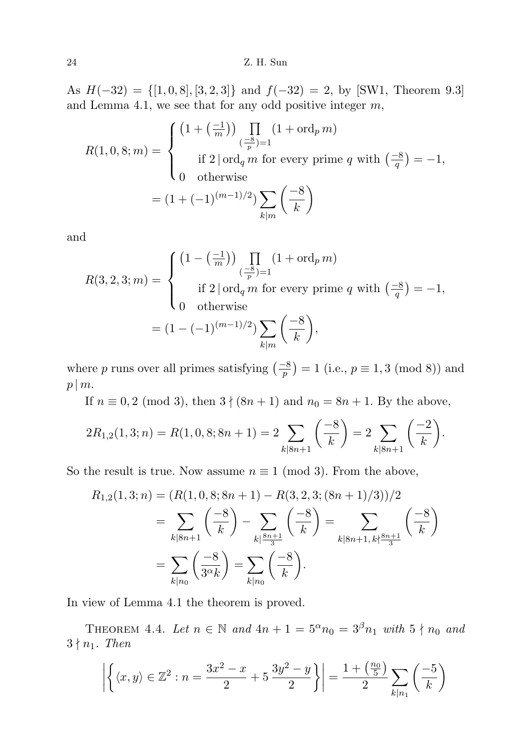As  $H(-32) = \{[1, 0, 8], [3, 2, 3]\}$  and  $f(-32) = 2$ , by [SW1, Theorem 9.3] and Lemma 4.1, we see that for any odd positive integer  $m$ ,

$$
R(1,0,8;m) = \begin{cases} \left(1 + \left(\frac{-1}{m}\right)\right) \prod_{\left(\frac{-8}{p}\right)=1} (1 + \text{ord}_p m) \\ \text{if } 2 \mid \text{ord}_q m \text{ for every prime } q \text{ with } \left(\frac{-8}{q}\right) = -1, \\ 0 \quad \text{otherwise} \\ = \left(1 + (-1)^{(m-1)/2}\right) \sum_{k|m} \left(\frac{-8}{k}\right) \end{cases}
$$

and

$$
R(3,2,3;m) = \begin{cases} (1 - \left(\frac{-1}{m}\right)) \prod_{\left(\frac{-8}{p}\right)=1} (1 + \text{ord}_p m) \\ \text{if } 2 | \text{ ord}_q m \text{ for every prime } q \text{ with } \left(\frac{-8}{q}\right) = -1, \\ 0 \quad \text{otherwise} \\ = (1 - (-1)^{(m-1)/2}) \sum_{k|m} \left(\frac{-8}{k}\right), \end{cases}
$$

where p runs over all primes satisfying  $\left(\frac{-8}{p}\right) = 1$  (i.e.,  $p \equiv 1, 3 \pmod{8}$ ) and  $p \mid m$ .

If  $n \equiv 0, 2 \pmod{3}$ , then  $3 \nmid (8n + 1)$  and  $n_0 = 8n + 1$ . By the above,

$$
2R_{1,2}(1,3;n) = R(1,0,8;8n+1) = 2\sum_{k|8n+1} \left(\frac{-8}{k}\right) = 2\sum_{k|8n+1} \left(\frac{-2}{k}\right).
$$

So the result is true. Now assume  $n \equiv 1 \pmod{3}$ . From the above,

$$
R_{1,2}(1,3;n) = (R(1,0,8;8n+1) - R(3,2,3;(8n+1)/3))/2
$$
  
= 
$$
\sum_{k|8n+1} \left(\frac{-8}{k}\right) - \sum_{k|\frac{8n+1}{3}} \left(\frac{-8}{k}\right) = \sum_{k|8n+1, k\frac{8n+1}{3}} \left(\frac{-8}{k}\right)
$$
  
= 
$$
\sum_{k|n_0} \left(\frac{-8}{3^{\alpha}k}\right) = \sum_{k|n_0} \left(\frac{-8}{k}\right).
$$

In view of Lemma 4.1 the theorem is proved.

THEOREM 4.4. Let  $n \in \mathbb{N}$  and  $4n + 1 = 5^{\alpha} n_0 = 3^{\beta} n_1$  with  $5 \nmid n_0$  and  $3 \nmid n_1$ . Then

$$
\left| \left\{ \langle x, y \rangle \in \mathbb{Z}^2 : n = \frac{3x^2 - x}{2} + 5 \frac{3y^2 - y}{2} \right\} \right| = \frac{1 + \left(\frac{n_0}{5}\right)}{2} \sum_{k|n_1} \left( \frac{-5}{k} \right)
$$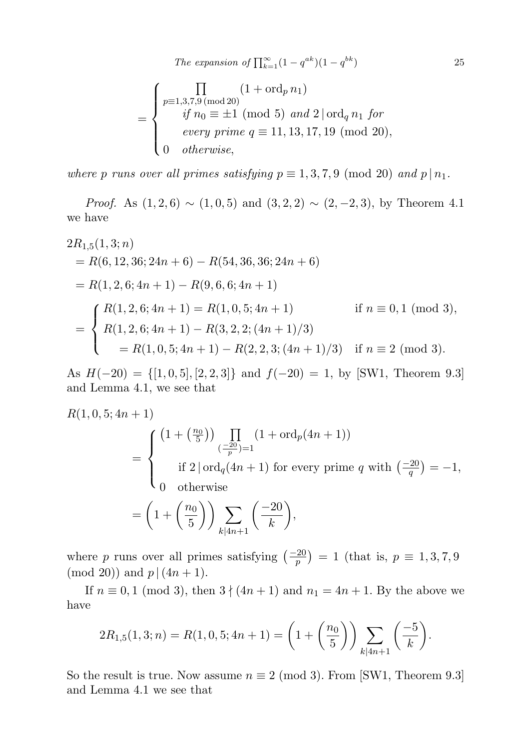$$
= \begin{cases} \prod_{p\equiv 1,3,7,9 \,(\text{mod } 20)} (1 + \text{ord}_p \, n_1) \\ \quad \text{if } n_0 \equiv \pm 1 \pmod{5} \, \text{ and } 2 \, | \, \text{ord}_q \, n_1 \, \text{ for} \\ \quad \text{every prime } q \equiv 11,13,17,19 \, (\text{mod } 20), \\ 0 \quad \text{otherwise}, \end{cases}
$$

where p runs over all primes satisfying  $p \equiv 1, 3, 7, 9 \pmod{20}$  and  $p | n_1$ .

*Proof.* As  $(1, 2, 6) \sim (1, 0, 5)$  and  $(3, 2, 2) \sim (2, -2, 3)$ , by Theorem 4.1 we have

$$
2R_{1,5}(1,3;n)
$$
  
= R(6, 12, 36; 24n + 6) - R(54, 36, 36; 24n + 6)  
= R(1, 2, 6; 4n + 1) - R(9, 6, 6; 4n + 1)  
= 
$$
\begin{cases} R(1,2,6; 4n + 1) = R(1,0,5; 4n + 1) & \text{if } n \equiv 0,1 \pmod{3}, \\ R(1,2,6; 4n + 1) - R(3,2,2; (4n + 1)/3) & \text{if } n \equiv 2 \pmod{3}. \end{cases}
$$

As  $H(-20) = \{[1, 0, 5], [2, 2, 3]\}$  and  $f(-20) = 1$ , by [SW1, Theorem 9.3] and Lemma 4.1, we see that

$$
R(1,0,5;4n+1)
$$
  
= 
$$
\begin{cases} (1 + \binom{n_0}{5}) \prod_{\substack{(-20) = 1 \ i \neq 2}} (1 + \text{ord}_p(4n+1)) \\ \text{if } 2 | \text{ord}_q(4n+1) \text{ for every prime } q \text{ with } \left(\frac{-20}{q}\right) = -1, \\ 0 \quad \text{otherwise} \end{cases}
$$
  
= 
$$
\left(1 + \left(\frac{n_0}{5}\right)\right) \sum_{k \mid 4n+1} \left(\frac{-20}{k}\right),
$$

where p runs over all primes satisfying  $\left(\frac{-20}{p}\right) = 1$  (that is,  $p \equiv 1, 3, 7, 9$ ) (mod 20)) and  $p|(4n + 1)$ .

If  $n \equiv 0, 1 \pmod{3}$ , then  $3 \nmid (4n + 1)$  and  $n_1 = 4n + 1$ . By the above we have

$$
2R_{1,5}(1,3;n) = R(1,0,5;4n+1) = \left(1 + \left(\frac{n_0}{5}\right)\right) \sum_{k \mid 4n+1} \left(\frac{-5}{k}\right).
$$

So the result is true. Now assume  $n \equiv 2 \pmod{3}$ . From [SW1, Theorem 9.3] and Lemma 4.1 we see that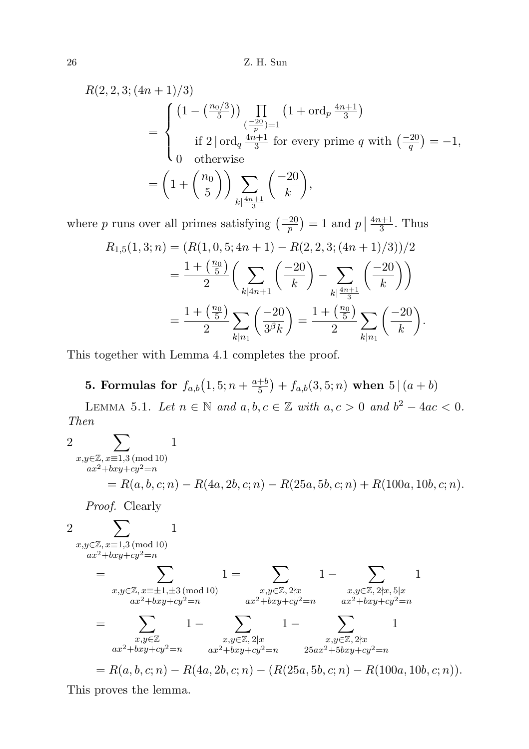26 Z. H. Sun

$$
R(2, 2, 3; (4n + 1)/3)
$$
  
= 
$$
\begin{cases} (1 - \left(\frac{n_0/3}{5}\right)) \prod_{\substack{(-20)\\ \text{if } 2 \mid \text{ord}_q \frac{4n+1}{3} \text{ for every prime } q}} \left(1 + \text{ord}_p \frac{4n+1}{3}\right) \\ \text{if } 2 \mid \text{ord}_q \frac{4n+1}{3} \text{ for every prime } q \text{ with } \left(\frac{-20}{q}\right) = -1, \\ 0 \quad \text{otherwise} \end{cases}
$$
  
= 
$$
\left(1 + \left(\frac{n_0}{5}\right)\right) \sum_{k \mid \frac{4n+1}{3}} \left(\frac{-20}{k}\right),
$$

where p runs over all primes satisfying  $\left(\frac{-20}{p}\right) = 1$  and  $p \mid \frac{4n+1}{3}$  $\frac{l+1}{3}$ . Thus

$$
R_{1,5}(1,3;n) = (R(1,0,5;4n+1) - R(2,2,3;(4n+1)/3))/2
$$
  
=  $\frac{1 + (\frac{n_0}{5})}{2} \left( \sum_{k|4n+1} {\frac{-20}{k}} \right) - \sum_{k|\frac{4n+1}{3}} {\frac{-20}{k}} \right)$   
=  $\frac{1 + (\frac{n_0}{5})}{2} \sum_{k|n_1} {\frac{-20}{3^{\beta}k}} = \frac{1 + (\frac{n_0}{5})}{2} \sum_{k|n_1} {\frac{-20}{k}}.$ 

This together with Lemma 4.1 completes the proof.

**5.** Formulas for  $f_{a,b}(1, 5; n + \frac{a+b}{5})$  $\frac{+b}{5}\big) + f_{a,b}(3,5;n) \,$  when  $\, 5 \, | \, (a+b) \,$ 

LEMMA 5.1. Let  $n \in \mathbb{N}$  and  $a, b, c \in \mathbb{Z}$  with  $a, c > 0$  and  $b^2 - 4ac < 0$ . Then

$$
2 \sum_{\substack{x,y \in \mathbb{Z}, x \equiv 1,3 \pmod{10} \\ ax^2 + bxy + cy^2 = n}} 1
$$
  
=  $R(a, b, c; n) - R(4a, 2b, c; n) - R(25a, 5b, c; n) + R(100a, 10b, c; n).$ 

Proof. Clearly

$$
2 \sum_{\substack{x,y \in \mathbb{Z}, x \equiv 1,3 \pmod{10} \\ ax^2 + bxy + cy^2 = n}} 1
$$
\n
$$
= \sum_{\substack{x,y \in \mathbb{Z}, x \equiv \pm 1, \pm 3 \pmod{10} \\ ax^2 + bxy + cy^2 = n}} 1 = \sum_{\substack{x,y \in \mathbb{Z}, 2 \nmid x \\ ax^2 + bxy + cy^2 = n}} 1 - \sum_{\substack{x,y \in \mathbb{Z}, 2 \mid x \\ ax^2 + bxy + cy^2 = n}} 1 - \sum_{\substack{x,y \in \mathbb{Z}, 2 \mid x \\ ax^2 + bxy + cy^2 = n}} 1 - \sum_{\substack{x,y \in \mathbb{Z}, 2 \nmid x \\ ax^2 + bxy + cy^2 = n}} 1 - \sum_{\substack{x,y \in \mathbb{Z}, 2 \nmid x \\ ax^2 + bxy + cy^2 = n}} 1
$$
\n
$$
= R(a, b, c; n) - R(4a, 2b, c; n) - (R(25a, 5b, c; n) - R(100a, 10b, c; n)).
$$

This proves the lemma.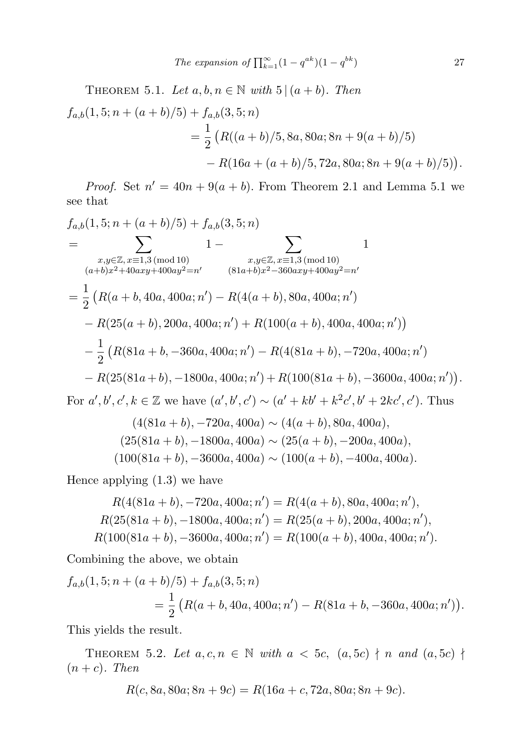The expansion of 
$$
\prod_{k=1}^{\infty} (1 - q^{ak})(1 - q^{bk})
$$
 27

THEOREM 5.1. Let  $a, b, n \in \mathbb{N}$  with  $5 | (a + b)$ . Then

$$
f_{a,b}(1,5; n + (a + b)/5) + f_{a,b}(3,5; n)
$$
  
= 
$$
\frac{1}{2} \left( R((a + b)/5, 8a, 80a; 8n + 9(a + b)/5) - R(16a + (a + b)/5, 72a, 80a; 8n + 9(a + b)/5) \right).
$$

*Proof.* Set  $n' = 40n + 9(a + b)$ . From Theorem 2.1 and Lemma 5.1 we see that

$$
f_{a,b}(1,5; n + (a + b)/5) + f_{a,b}(3,5; n)
$$
  
= 
$$
\sum_{x,y \in \mathbb{Z}, x \equiv 1,3 \pmod{10}} 1 - \sum_{x,y \in \mathbb{Z}, x \equiv 1,3 \pmod{10}} 1
$$
  

$$
(a+b)x^2 + 40axy + 400ay^2 = n' \qquad (81a+b)x^2 - 360axy + 400ay^2 = n'
$$
  
= 
$$
\frac{1}{2} (R(a + b, 40a, 400a; n') - R(4(a + b), 80a, 400a; n')
$$
  

$$
- R(25(a + b), 200a, 400a; n') + R(100(a + b), 400a, 400a; n'))
$$
  

$$
- \frac{1}{2} (R(81a + b, -360a, 400a; n') - R(4(81a + b), -720a, 400a; n')
$$
  

$$
- R(25(81a + b), -1800a, 400a; n') + R(100(81a + b), -3600a, 400a; n'))
$$
  
For  $a', b', c', k \in \mathbb{Z}$  we have  $(a', b', c') \sim (a' + kb' + k^2c', b' + 2kc', c')$ . Thus  

$$
(4(81a + b), -720a, 400a) \sim (4(a + b), 80a, 400a),
$$
  

$$
(25(81a + b), -1800a, 400a) \sim (25(a + b), -200a, 400a),
$$

Hence applying (1.3) we have

$$
R(4(81a+b), -720a, 400a; n') = R(4(a+b), 80a, 400a; n'),
$$
  
\n
$$
R(25(81a+b), -1800a, 400a; n') = R(25(a+b), 200a, 400a; n'),
$$
  
\n
$$
R(100(81a+b), -3600a, 400a; n') = R(100(a+b), 400a, 400a; n').
$$

 $(100(81a + b), -3600a, 400a) \sim (100(a + b), -400a, 400a).$ 

Combining the above, we obtain

$$
f_{a,b}(1,5; n + (a+b)/5) + f_{a,b}(3,5; n)
$$
  
=  $\frac{1}{2} \left( R(a+b,40a,400a; n') - R(81a+b,-360a,400a; n') \right).$ 

This yields the result.

THEOREM 5.2. Let  $a, c, n \in \mathbb{N}$  with  $a < 5c, (a, 5c) \nmid n$  and  $(a, 5c) \nmid n$  $(n + c)$ . Then

$$
R(c, 8a, 80a; 8n + 9c) = R(16a + c, 72a, 80a; 8n + 9c).
$$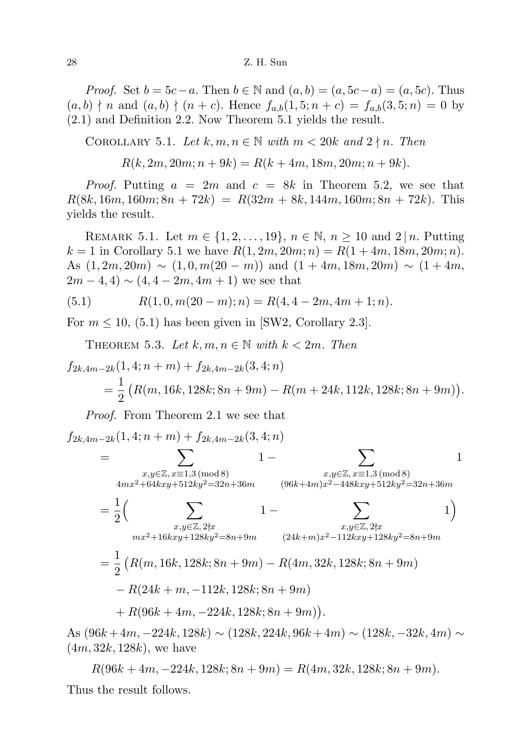## 28 Z. H. Sun

*Proof.* Set  $b = 5c - a$ . Then  $b \in \mathbb{N}$  and  $(a, b) = (a, 5c - a) = (a, 5c)$ . Thus  $(a, b) \nmid n$  and  $(a, b) \nmid (n + c)$ . Hence  $f_{a,b}(1, 5; n + c) = f_{a,b}(3, 5; n) = 0$  by (2.1) and Definition 2.2. Now Theorem 5.1 yields the result.

COROLLARY 5.1. Let  $k, m, n \in \mathbb{N}$  with  $m < 20k$  and  $2 \nmid n$ . Then

 $R(k, 2m, 20m; n+9k) = R(k+4m, 18m, 20m; n+9k).$ 

*Proof.* Putting  $a = 2m$  and  $c = 8k$  in Theorem 5.2, we see that  $R(8k, 16m, 160m; 8n + 72k) = R(32m + 8k, 144m, 160m; 8n + 72k)$ . This yields the result.

REMARK 5.1. Let  $m \in \{1, 2, ..., 19\}, n \in \mathbb{N}, n \ge 10$  and  $2 | n$ . Putting  $k = 1$  in Corollary 5.1 we have  $R(1, 2m, 20m; n) = R(1 + 4m, 18m, 20m; n)$ . As  $(1, 2m, 20m) \sim (1, 0, m(20 - m))$  and  $(1 + 4m, 18m, 20m) \sim (1 + 4m,$  $2m-4, 4) \sim (4, 4-2m, 4m+1)$  we see that

(5.1) 
$$
R(1,0,m(20-m);n) = R(4,4-2m,4m+1;n).
$$

For  $m \leq 10$ , (5.1) has been given in [SW2, Corollary 2.3].

THEOREM 5.3. Let  $k, m, n \in \mathbb{N}$  with  $k < 2m$ . Then

$$
f_{2k,4m-2k}(1,4;n+m) + f_{2k,4m-2k}(3,4;n)
$$
  
=  $\frac{1}{2}$  (R(m,16k,128k;8n+9m) - R(m+24k,112k,128k;8n+9m)).

Proof. From Theorem 2.1 we see that

$$
f_{2k,4m-2k}(1,4;n+m) + f_{2k,4m-2k}(3,4;n)
$$
  
= 
$$
\sum_{\substack{x,y \in \mathbb{Z}, x \equiv 1,3 \pmod{8} \\ 4mx^2 + 64kxy + 512ky^2 = 32n + 36m}} 1 - \sum_{\substack{x,y \in \mathbb{Z}, x \equiv 1,3 \pmod{8} \\ (96k+4m)x^2 - 448kxy + 512ky^2 = 32n + 36m}} 1
$$
  
= 
$$
\frac{1}{2} \Big( \sum_{\substack{x,y \in \mathbb{Z}, 2 \nmid x \\ mx^2 + 16kxy + 128ky^2 = 8n + 9m}} 1 - \sum_{\substack{x,y \in \mathbb{Z}, 2 \nmid x \\ (24k+m)x^2 - 112kxy + 128ky^2 = 8n + 9m}} 1 \Big)
$$
  
= 
$$
\frac{1}{2} \left( R(m,16k,128k;8n+9m) - R(4m,32k,128k;8n+9m) - R(24k+m, -112k,128k;8n+9m) + R(96k+4m, -224k,128k;8n+9m) \right).
$$

As  $(96k + 4m, -224k, 128k)$  ∼  $(128k, 224k, 96k + 4m)$  ∼  $(128k, -32k, 4m)$  ∼  $(4m, 32k, 128k)$ , we have

$$
R(96k + 4m, -224k, 128k; 8n + 9m) = R(4m, 32k, 128k; 8n + 9m).
$$

Thus the result follows.